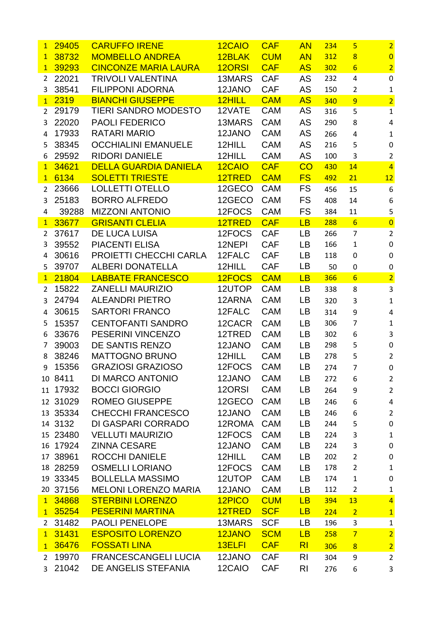| $\mathbf{1}$   | 29405    | <b>CARUFFO IRENE</b>         | 12CAIO | <b>CAF</b> | <b>AN</b>      | 234 | 5               | $\overline{2}$   |
|----------------|----------|------------------------------|--------|------------|----------------|-----|-----------------|------------------|
| $\mathbf{1}$   | 38732    | <b>MOMBELLO ANDREA</b>       | 12BLAK | <b>CUM</b> | <b>AN</b>      | 312 | $\overline{8}$  | $\overline{0}$   |
| $\mathbf{1}$   | 39293    | <b>CINCONZE MARIA LAURA</b>  | 12ORSI | <b>CAF</b> | <b>AS</b>      | 302 | $6\overline{6}$ | $\overline{2}$   |
| $\overline{2}$ | 22021    | <b>TRIVOLI VALENTINA</b>     | 13MARS | <b>CAF</b> | AS             | 232 | 4               | $\boldsymbol{0}$ |
| 3              | 38541    | <b>FILIPPONI ADORNA</b>      | 12JANO | <b>CAF</b> | AS             | 150 | $\overline{2}$  | $\mathbf{1}$     |
| 1              | 2319     | <b>BIANCHI GIUSEPPE</b>      | 12HILL | <b>CAM</b> | <b>AS</b>      | 340 | 9               | $\overline{2}$   |
| 2              | 29179    | <b>TIERI SANDRO MODESTO</b>  | 12VATE | <b>CAM</b> | AS             | 316 | 5               | $\mathbf 1$      |
| 3              | 22020    | <b>PAOLI FEDERICO</b>        | 13MARS | <b>CAM</b> | AS             | 290 | 8               | $\sqrt{4}$       |
| $\overline{4}$ | 17933    | <b>RATARI MARIO</b>          | 12JANO | <b>CAM</b> | <b>AS</b>      | 266 | 4               | $\mathbf{1}$     |
| 5              | 38345    | <b>OCCHIALINI EMANUELE</b>   | 12HILL | <b>CAM</b> | AS             | 216 | 5               | $\pmb{0}$        |
| 6              | 29592    | <b>RIDORI DANIELE</b>        | 12HILL | <b>CAM</b> | AS             | 100 | 3               | $\overline{2}$   |
| 1              | 34621    | <b>DELLA GUARDIA DANIELA</b> | 12CAIO | <b>CAF</b> | CO             | 430 | 14              | $\overline{4}$   |
| $\mathbf{1}$   | 6134     | <b>SOLETTI TRIESTE</b>       | 12TRED | <b>CAM</b> | <b>FS</b>      | 492 | 21              | 12               |
| $\overline{2}$ | 23666    | <b>LOLLETTI OTELLO</b>       | 12GECO | <b>CAM</b> | FS.            | 456 | 15              | $\boldsymbol{6}$ |
| 3              | 25183    | <b>BORRO ALFREDO</b>         | 12GECO | <b>CAM</b> | <b>FS</b>      | 408 | 14              | 6                |
| 4              | 39288    | <b>MIZZONI ANTONIO</b>       | 12FOCS | <b>CAM</b> | <b>FS</b>      | 384 | 11              | 5                |
| 1              | 33677    | <b>GRISANTI CLELIA</b>       | 12TRED | <b>CAF</b> | LB             | 288 | $6\overline{6}$ | $\overline{0}$   |
| $\overline{2}$ | 37617    | <b>DE LUCA LUISA</b>         | 12FOCS | <b>CAF</b> | <b>LB</b>      | 266 | $\overline{7}$  | $\overline{2}$   |
| 3              | 39552    | <b>PIACENTI ELISA</b>        | 12NEPI | <b>CAF</b> | <b>LB</b>      | 166 | $\mathbf{1}$    | $\pmb{0}$        |
| 4              | 30616    | PROIETTI CHECCHI CARLA       | 12FALC | <b>CAF</b> | <b>LB</b>      | 118 | 0               | $\mathbf 0$      |
| 5              | 39707    | <b>ALBERI DONATELLA</b>      | 12HILL | <b>CAF</b> | LB             | 50  | 0               | $\pmb{0}$        |
| 1              | 21804    | <b>LABBATE FRANCESCO</b>     | 12FOCS | <b>CAM</b> | LB             | 366 | $6\overline{6}$ | $\overline{2}$   |
| $\overline{2}$ | 15822    | <b>ZANELLI MAURIZIO</b>      | 12UTOP | <b>CAM</b> | LB             | 338 | 8               | $\mathbf{3}$     |
| 3              | 24794    | <b>ALEANDRI PIETRO</b>       | 12ARNA | <b>CAM</b> | <b>LB</b>      | 320 | 3               | $\mathbf 1$      |
| 4              | 30615    | <b>SARTORI FRANCO</b>        | 12FALC | <b>CAM</b> | <b>LB</b>      | 314 | 9               | $\overline{4}$   |
| 5              | 15357    | <b>CENTOFANTI SANDRO</b>     | 12CACR | <b>CAM</b> | <b>LB</b>      | 306 | 7               | $\mathbf 1$      |
| 6              | 33676    | PESERINI VINCENZO            | 12TRED | <b>CAM</b> | <b>LB</b>      | 302 | 6               | 3                |
| 7              | 39003    | DE SANTIS RENZO              | 12JANO | <b>CAM</b> | <b>LB</b>      | 298 | 5               | $\pmb{0}$        |
| 8              | 38246    | <b>MATTOGNO BRUNO</b>        | 12HILL | <b>CAM</b> | <b>LB</b>      | 278 | 5               | $\overline{2}$   |
| 9              | 15356    | <b>GRAZIOSI GRAZIOSO</b>     | 12FOCS | <b>CAM</b> | LB             | 274 | 7               | 0                |
|                | 10 8411  | DI MARCO ANTONIO             | 12JANO | <b>CAM</b> | LB             | 272 | 6               | $\overline{2}$   |
|                | 11 17932 | <b>BOCCI GIORGIO</b>         | 12ORSI | <b>CAM</b> | LB             | 264 | 9               | $\overline{2}$   |
|                | 12 31029 | <b>ROMEO GIUSEPPE</b>        | 12GECO | <b>CAM</b> | <b>LB</b>      | 246 | 6               | $\overline{4}$   |
|                | 13 35334 | <b>CHECCHI FRANCESCO</b>     | 12JANO | <b>CAM</b> | LB             | 246 | 6               | $\overline{2}$   |
|                | 14 3132  | DI GASPARI CORRADO           | 12ROMA | <b>CAM</b> | <b>LB</b>      | 244 | 5               | $\pmb{0}$        |
|                | 15 23480 | <b>VELLUTI MAURIZIO</b>      | 12FOCS | <b>CAM</b> | LB             | 224 | 3               | $\mathbf 1$      |
|                | 16 17924 | <b>ZINNA CESARE</b>          | 12JANO | <b>CAM</b> | LB             | 224 | 3               | $\pmb{0}$        |
|                | 17 38961 | <b>ROCCHI DANIELE</b>        | 12HILL | <b>CAM</b> | LB             | 202 | $\overline{2}$  | $\pmb{0}$        |
|                | 18 28259 | <b>OSMELLI LORIANO</b>       | 12FOCS | <b>CAM</b> | <b>LB</b>      | 178 | $\overline{2}$  | $\mathbf 1$      |
|                | 19 33345 | <b>BOLLELLA MASSIMO</b>      | 12UTOP | <b>CAM</b> | <b>LB</b>      | 174 | $\mathbf 1$     | $\pmb{0}$        |
|                | 20 37156 | <b>MELONI LORENZO MARIA</b>  | 12JANO | <b>CAM</b> | <b>LB</b>      | 112 | $\overline{2}$  | $\mathbf{1}$     |
|                | 1 34868  | <b>STERBINI LORENZO</b>      | 12PICO | <b>CUM</b> | LB             | 394 | 13              | $\overline{4}$   |
| 1              | 35254    | <b>PESERINI MARTINA</b>      | 12TRED | <b>SCF</b> | LB             | 224 | $\overline{2}$  | $\mathbf{1}$     |
| $\mathbf{2}$   | 31482    | <b>PAOLI PENELOPE</b>        | 13MARS | <b>SCF</b> | <b>LB</b>      | 196 | 3               | $\mathbf 1$      |
| 1              | 31431    | <b>ESPOSITO LORENZO</b>      | 12JANO | <b>SCM</b> | LB             | 258 | $\overline{7}$  | $\overline{2}$   |
| 1              | 36476    | <b>FOSSATI LINA</b>          | 13ELFI | <b>CAF</b> | R <sub>l</sub> | 306 | $\overline{8}$  | $\overline{2}$   |
| $\overline{2}$ | 19970    | <b>FRANCESCANGELI LUCIA</b>  | 12JANO | <b>CAF</b> | R <sub>l</sub> | 304 | 9               |                  |
|                | 21042    | DE ANGELIS STEFANIA          | 12CAIO | <b>CAF</b> |                |     |                 | $\overline{2}$   |
| $\overline{3}$ |          |                              |        |            | R <sub>l</sub> | 276 | 6               | 3                |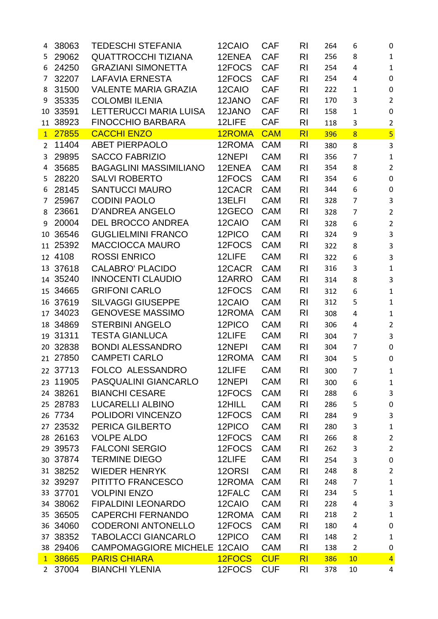| 4              | 38063    | <b>TEDESCHI STEFANIA</b>            | 12CAIO | <b>CAF</b> | RI             | 264 | 6              | $\boldsymbol{0}$          |
|----------------|----------|-------------------------------------|--------|------------|----------------|-----|----------------|---------------------------|
| 5              | 29062    | <b>QUATTROCCHI TIZIANA</b>          | 12ENEA | <b>CAF</b> | R <sub>l</sub> | 256 | 8              | $1\,$                     |
| 6              | 24250    | <b>GRAZIANI SIMONETTA</b>           | 12FOCS | <b>CAF</b> | R <sub>l</sub> | 254 | 4              | $\mathbf{1}$              |
| 7              | 32207    | <b>LAFAVIA ERNESTA</b>              | 12FOCS | <b>CAF</b> | R <sub>l</sub> | 254 | 4              | $\pmb{0}$                 |
| 8              | 31500    | <b>VALENTE MARIA GRAZIA</b>         | 12CAIO | <b>CAF</b> | R <sub>l</sub> | 222 | $\mathbf{1}$   | $\pmb{0}$                 |
| 9              | 35335    | <b>COLOMBI ILENIA</b>               | 12JANO | <b>CAF</b> | R <sub>l</sub> | 170 | 3              | $\overline{2}$            |
| 10             | 33591    | LETTERUCCI MARIA LUISA              | 12JANO | <b>CAF</b> | R <sub>l</sub> | 158 | $\mathbf{1}$   | $\pmb{0}$                 |
| 11             | 38923    | <b>FINOCCHIO BARBARA</b>            | 12LIFE | <b>CAF</b> | R <sub>l</sub> | 118 | 3              | $\mathbf 2$               |
| $\mathbf{1}$   | 27855    | <b>CACCHI ENZO</b>                  | 12ROMA | <b>CAM</b> | R <sub>l</sub> | 396 | $\overline{8}$ | $\overline{\mathbf{5}}$   |
| $\overline{2}$ | 11404    | <b>ABET PIERPAOLO</b>               | 12ROMA | <b>CAM</b> | R <sub>l</sub> | 380 | 8              | $\mathbf{3}$              |
| 3              | 29895    | <b>SACCO FABRIZIO</b>               | 12NEPI | <b>CAM</b> | R <sub>l</sub> | 356 | $\overline{7}$ | $\mathbf 1$               |
| 4              | 35685    | <b>BAGAGLINI MASSIMILIANO</b>       | 12ENEA | <b>CAM</b> | R <sub>l</sub> | 354 | 8              | $\overline{2}$            |
| 5              | 28220    | <b>SALVI ROBERTO</b>                | 12FOCS | <b>CAM</b> | R <sub>l</sub> | 354 | 6              | $\pmb{0}$                 |
| 6              | 28145    | <b>SANTUCCI MAURO</b>               | 12CACR | <b>CAM</b> | R <sub>l</sub> | 344 | 6              | $\pmb{0}$                 |
| 7              | 25967    | <b>CODINI PAOLO</b>                 | 13ELFI | <b>CAM</b> | R <sub>l</sub> | 328 | $\overline{7}$ | $\mathbf{3}$              |
| 8              | 23661    | <b>D'ANDREA ANGELO</b>              | 12GECO | <b>CAM</b> | R <sub>l</sub> | 328 | $\overline{7}$ | $\overline{2}$            |
| 9              | 20004    | <b>DEL BROCCO ANDREA</b>            | 12CAIO | <b>CAM</b> | R <sub>l</sub> | 328 | 6              | $\overline{2}$            |
| 10             | 36546    | <b>GUGLIELMINI FRANCO</b>           | 12PICO | <b>CAM</b> | R <sub>l</sub> | 324 | 9              | $\mathbf{3}$              |
|                | 11 25392 | <b>MACCIOCCA MAURO</b>              | 12FOCS | <b>CAM</b> | R <sub>l</sub> | 322 | 8              | $\mathsf 3$               |
|                | 12 4108  | <b>ROSSI ENRICO</b>                 | 12LIFE | <b>CAM</b> | R <sub>l</sub> | 322 | 6              | $\overline{3}$            |
|                | 13 37618 | <b>CALABRO' PLACIDO</b>             | 12CACR | <b>CAM</b> | R <sub>l</sub> | 316 | 3              | $\mathbf 1$               |
|                | 14 35240 | <b>INNOCENTI CLAUDIO</b>            | 12ARRO | <b>CAM</b> | R <sub>l</sub> | 314 | 8              | $\overline{3}$            |
|                | 15 34665 | <b>GRIFONI CARLO</b>                | 12FOCS | <b>CAM</b> | R <sub>l</sub> | 312 | 6              | $\mathbf 1$               |
|                | 16 37619 | <b>SILVAGGI GIUSEPPE</b>            | 12CAIO | <b>CAM</b> | R <sub>l</sub> | 312 | 5              | $\mathbf{1}$              |
|                | 17 34023 | <b>GENOVESE MASSIMO</b>             | 12ROMA | <b>CAM</b> | R <sub>l</sub> | 308 | 4              | $\mathbf 1$               |
|                | 18 34869 | <b>STERBINI ANGELO</b>              | 12PICO | <b>CAM</b> | R <sub>l</sub> | 306 | 4              | $\overline{2}$            |
|                | 19 31311 | <b>TESTA GIANLUCA</b>               | 12LIFE | <b>CAM</b> | R <sub>l</sub> | 304 | $\overline{7}$ | $\overline{3}$            |
|                | 20 32838 | <b>BONDI ALESSANDRO</b>             | 12NEPI | <b>CAM</b> | R <sub>l</sub> | 304 | $\overline{7}$ | $\pmb{0}$                 |
|                | 21 27850 | <b>CAMPETI CARLO</b>                | 12ROMA | <b>CAM</b> | R <sub>l</sub> | 304 | 5              | $\pmb{0}$                 |
|                | 22 37713 | FOLCO ALESSANDRO                    | 12LIFE | <b>CAM</b> | R <sub>l</sub> | 300 | $\overline{7}$ | $\mathbf{1}$              |
|                | 23 11905 | PASQUALINI GIANCARLO                | 12NEPI | <b>CAM</b> | <b>RI</b>      | 300 | 6              | $\mathbf{1}$              |
|                | 24 38261 | <b>BIANCHI CESARE</b>               | 12FOCS | <b>CAM</b> | R <sub>l</sub> | 288 | 6              | 3                         |
|                | 25 28783 | <b>LUCARELLI ALBINO</b>             | 12HILL | <b>CAM</b> | R <sub>l</sub> | 286 | 5              | $\pmb{0}$                 |
|                | 26 7734  | POLIDORI VINCENZO                   | 12FOCS | <b>CAM</b> | R <sub>l</sub> | 284 | 9              | $\mathsf 3$               |
|                | 27 23532 | PERICA GILBERTO                     | 12PICO | <b>CAM</b> | R <sub>l</sub> | 280 | 3              | $\mathbf{1}$              |
|                | 28 26163 | <b>VOLPE ALDO</b>                   | 12FOCS | <b>CAM</b> | R <sub>l</sub> | 266 | 8              | $\overline{2}$            |
|                | 29 39573 | <b>FALCONI SERGIO</b>               | 12FOCS | <b>CAM</b> | R <sub>l</sub> | 262 | 3              | $\overline{2}$            |
|                | 30 37874 | <b>TERMINE DIEGO</b>                | 12LIFE | <b>CAM</b> | R <sub>l</sub> | 254 | 3              | $\pmb{0}$                 |
|                | 31 38252 | <b>WIEDER HENRYK</b>                | 12ORSI | <b>CAM</b> | R <sub>l</sub> | 248 | 8              | $\overline{2}$            |
|                | 32 39297 | PITITTO FRANCESCO                   | 12ROMA | <b>CAM</b> | R <sub>l</sub> | 248 | $\overline{7}$ | $\mathbf{1}$              |
|                | 33 37701 | <b>VOLPINI ENZO</b>                 | 12FALC | <b>CAM</b> | <b>RI</b>      | 234 | 5              | $\mathbf 1$               |
|                | 34 38062 | <b>FIPALDINI LEONARDO</b>           | 12CAIO | <b>CAM</b> | R <sub>l</sub> | 228 | $\overline{4}$ | $\ensuremath{\mathsf{3}}$ |
|                | 35 36505 | <b>CAPERCHI FERNANDO</b>            | 12ROMA | <b>CAM</b> | R <sub>l</sub> | 218 | $\overline{2}$ | $\mathbf 1$               |
|                | 36 34060 | <b>CODERONI ANTONELLO</b>           | 12FOCS | <b>CAM</b> | R <sub>l</sub> | 180 | 4              | $\pmb{0}$                 |
|                | 37 38352 | <b>TABOLACCI GIANCARLO</b>          | 12PICO | <b>CAM</b> | R <sub>l</sub> | 148 | $\overline{2}$ | $\mathbf{1}$              |
|                | 38 29406 | <b>CAMPOMAGGIORE MICHELE 12CAIO</b> |        | <b>CAM</b> | R <sub>l</sub> | 138 | $\overline{2}$ | $\pmb{0}$                 |
| 1              | 38665    | <b>PARIS CHIARA</b>                 | 12FOCS | <b>CUF</b> | R <sub>l</sub> | 386 | 10             | $\overline{4}$            |
| $\overline{2}$ | 37004    | <b>BIANCHI YLENIA</b>               | 12FOCS | <b>CUF</b> | R <sub>l</sub> | 378 | 10             | 4                         |